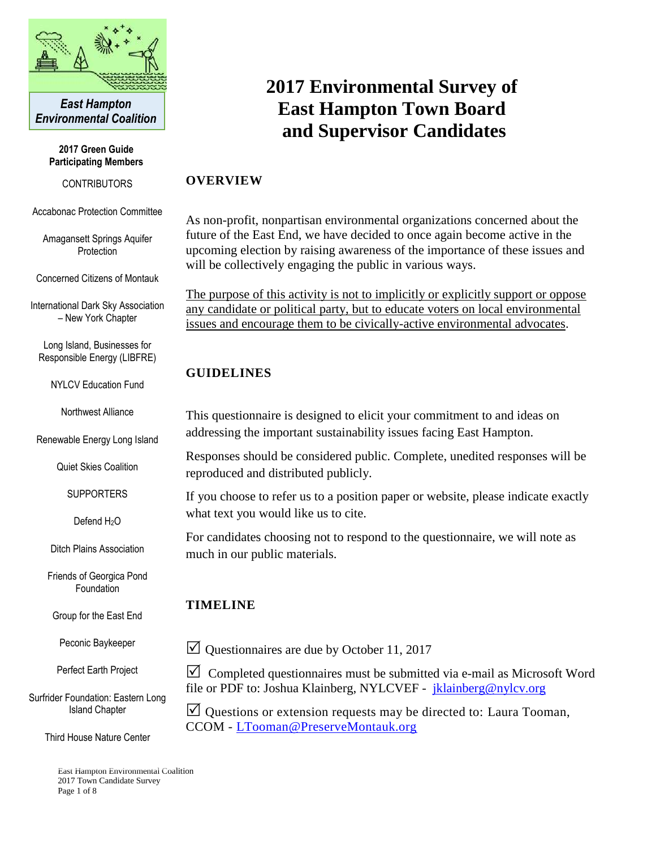

*East Hampton Environmental Coalition*

> **2017 Green Guide Participating Members**

> > **CONTRIBUTORS**

Accabonac Protection Committee

Amagansett Springs Aquifer **Protection** 

Concerned Citizens of Montauk

International Dark Sky Association – New York Chapter

Long Island, Businesses for Responsible Energy (LIBFRE)

NYLCV Education Fund

Northwest Alliance

Renewable Energy Long Island

Quiet Skies Coalition

**SUPPORTERS** 

Defend H<sub>2</sub>O

Ditch Plains Association

Friends of Georgica Pond Foundation

Group for the East End

Peconic Baykeeper

Perfect Earth Project

Surfrider Foundation: Eastern Long Island Chapter

Third House Nature Center

East Hampton Environmental Coalition 2017 Town Candidate Survey Page 1 of 8

# **2017 Environmental Survey of East Hampton Town Board and Supervisor Candidates**

#### **OVERVIEW**

As non-profit, nonpartisan environmental organizations concerned about the future of the East End, we have decided to once again become active in the upcoming election by raising awareness of the importance of these issues and will be collectively engaging the public in various ways.

The purpose of this activity is not to implicitly or explicitly support or oppose any candidate or political party, but to educate voters on local environmental issues and encourage them to be civically-active environmental advocates.

## **GUIDELINES**

This questionnaire is designed to elicit your commitment to and ideas on addressing the important sustainability issues facing East Hampton.

Responses should be considered public. Complete, unedited responses will be reproduced and distributed publicly.

If you choose to refer us to a position paper or website, please indicate exactly what text you would like us to cite.

For candidates choosing not to respond to the questionnaire, we will note as much in our public materials.

## **TIMELINE**

 $\triangledown$  Questionnaires are due by October 11, 2017

 $\triangledown$  Completed questionnaires must be submitted via e-mail as Microsoft Word file or PDF to: Joshua Klainberg, NYLCVEF - *jklainberg@nylcy.org* 

 $\Box$  Questions or extension requests may be directed to: Laura Tooman, CCOM - [LTooman@PreserveMontauk.org](mailto:LTooman@PreserveMontauk.org)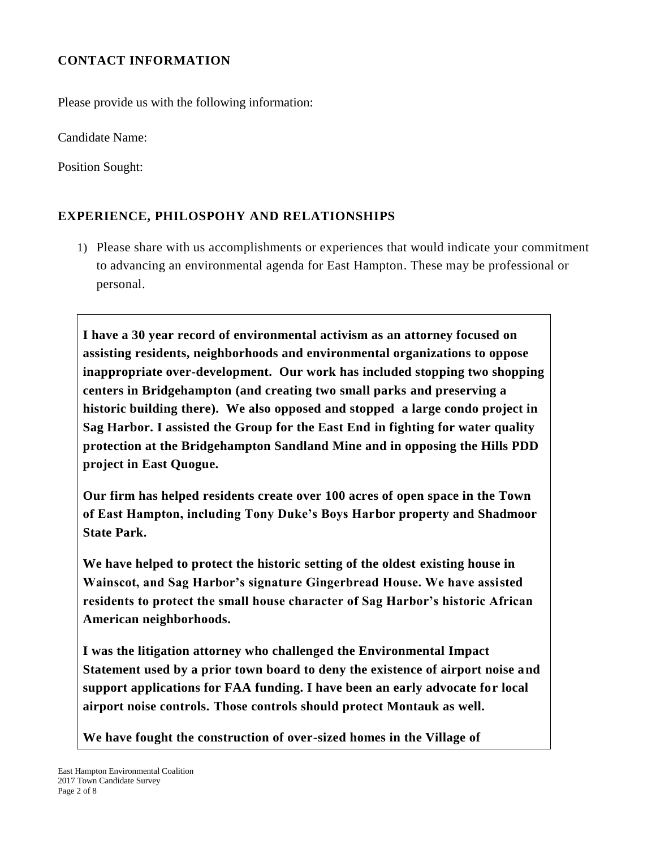# **CONTACT INFORMATION**

Please provide us with the following information:

Candidate Name:

Position Sought:

# **EXPERIENCE, PHILOSPOHY AND RELATIONSHIPS**

1) Please share with us accomplishments or experiences that would indicate your commitment to advancing an environmental agenda for East Hampton. These may be professional or personal.

**I have a 30 year record of environmental activism as an attorney focused on assisting residents, neighborhoods and environmental organizations to oppose inappropriate over-development. Our work has included stopping two shopping centers in Bridgehampton (and creating two small parks and preserving a historic building there). We also opposed and stopped a large condo project in Sag Harbor. I assisted the Group for the East End in fighting for water quality protection at the Bridgehampton Sandland Mine and in opposing the Hills PDD project in East Quogue.** 

**Our firm has helped residents create over 100 acres of open space in the Town of East Hampton, including Tony Duke's Boys Harbor property and Shadmoor State Park.** 

**We have helped to protect the historic setting of the oldest existing house in Wainscot, and Sag Harbor's signature Gingerbread House. We have assisted residents to protect the small house character of Sag Harbor's historic African American neighborhoods.** 

**I was the litigation attorney who challenged the Environmental Impact Statement used by a prior town board to deny the existence of airport noise and support applications for FAA funding. I have been an early advocate for local airport noise controls. Those controls should protect Montauk as well.** 

**We have fought the construction of over-sized homes in the Village of**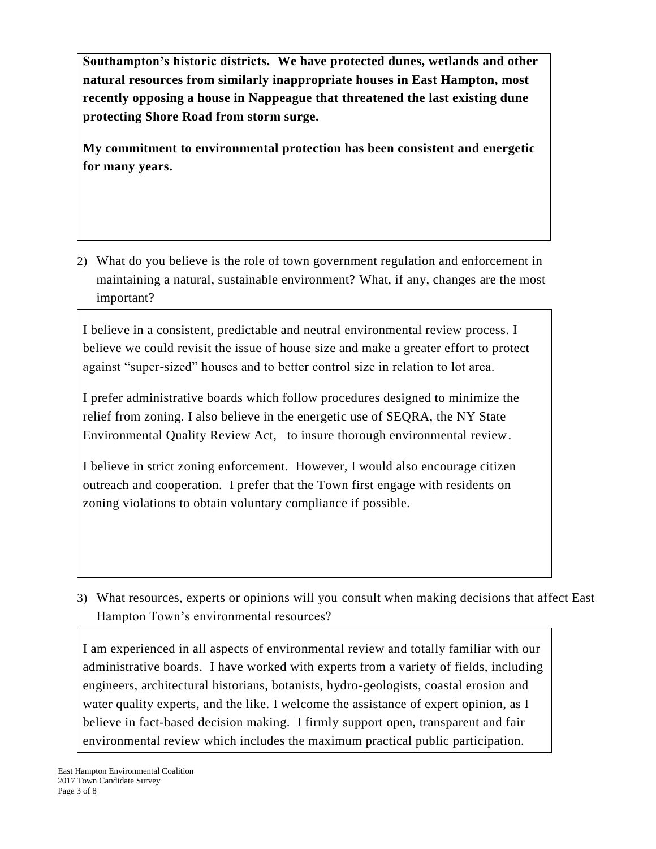**Southampton's historic districts. We have protected dunes, wetlands and other natural resources from similarly inappropriate houses in East Hampton, most recently opposing a house in Nappeague that threatened the last existing dune protecting Shore Road from storm surge.**

**My commitment to environmental protection has been consistent and energetic for many years.** 

2) What do you believe is the role of town government regulation and enforcement in maintaining a natural, sustainable environment? What, if any, changes are the most important?

I believe in a consistent, predictable and neutral environmental review process. I believe we could revisit the issue of house size and make a greater effort to protect against "super-sized" houses and to better control size in relation to lot area.

I prefer administrative boards which follow procedures designed to minimize the relief from zoning. I also believe in the energetic use of SEQRA, the NY State Environmental Quality Review Act, to insure thorough environmental review.

I believe in strict zoning enforcement. However, I would also encourage citizen outreach and cooperation. I prefer that the Town first engage with residents on zoning violations to obtain voluntary compliance if possible.

3) What resources, experts or opinions will you consult when making decisions that affect East Hampton Town's environmental resources?

I am experienced in all aspects of environmental review and totally familiar with our administrative boards. I have worked with experts from a variety of fields, including engineers, architectural historians, botanists, hydro-geologists, coastal erosion and water quality experts, and the like. I welcome the assistance of expert opinion, as I believe in fact-based decision making. I firmly support open, transparent and fair environmental review which includes the maximum practical public participation.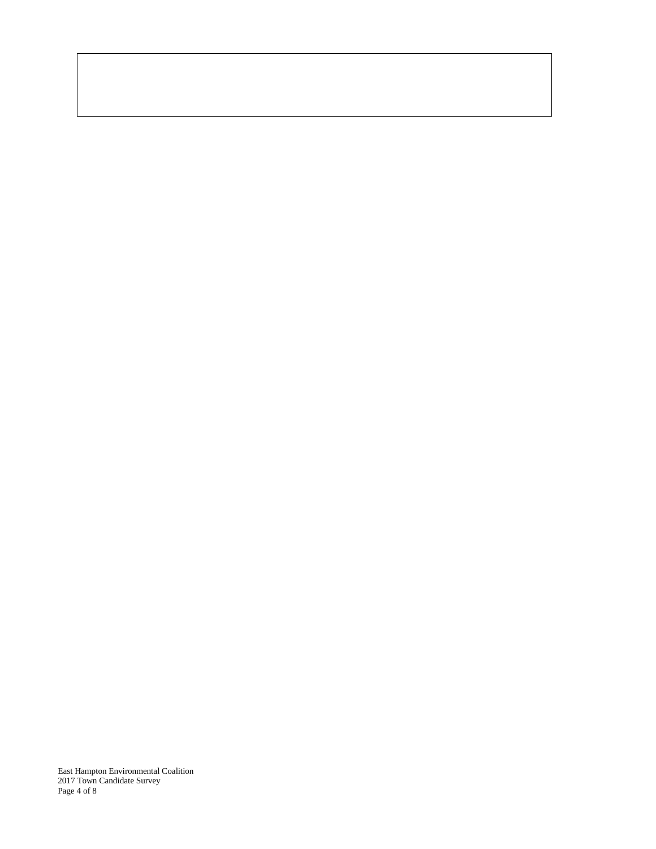East Hampton Environmental Coalition 2017 Town Candidate Survey Page 4 of 8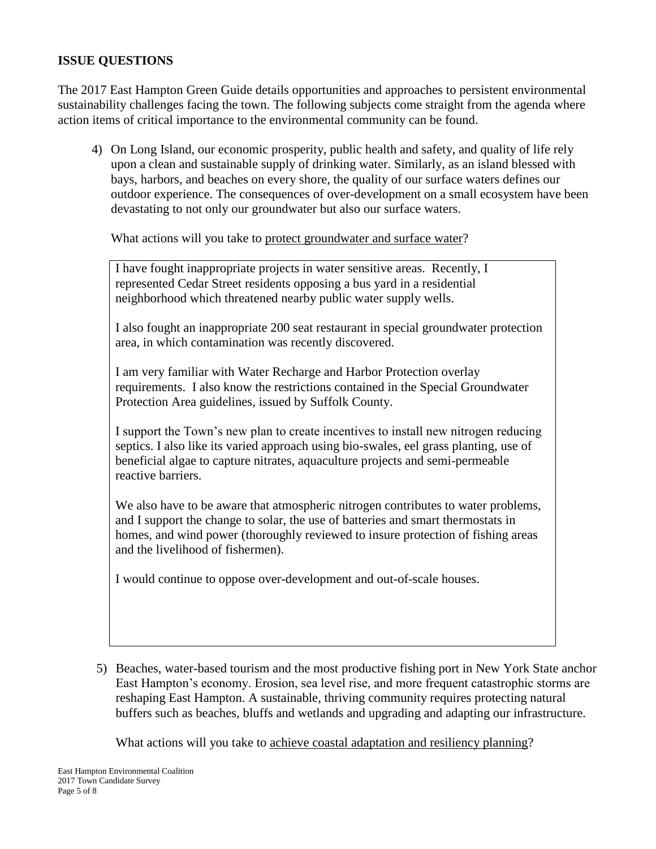#### **ISSUE QUESTIONS**

The 2017 East Hampton Green Guide details opportunities and approaches to persistent environmental sustainability challenges facing the town. The following subjects come straight from the agenda where action items of critical importance to the environmental community can be found.

4) On Long Island, our economic prosperity, public health and safety, and quality of life rely upon a clean and sustainable supply of drinking water. Similarly, as an island blessed with bays, harbors, and beaches on every shore, the quality of our surface waters defines our outdoor experience. The consequences of over-development on a small ecosystem have been devastating to not only our groundwater but also our surface waters.

What actions will you take to protect groundwater and surface water?

I have fought inappropriate projects in water sensitive areas. Recently, I represented Cedar Street residents opposing a bus yard in a residential neighborhood which threatened nearby public water supply wells.

I also fought an inappropriate 200 seat restaurant in special groundwater protection area, in which contamination was recently discovered.

I am very familiar with Water Recharge and Harbor Protection overlay requirements. I also know the restrictions contained in the Special Groundwater Protection Area guidelines, issued by Suffolk County.

I support the Town's new plan to create incentives to install new nitrogen reducing septics. I also like its varied approach using bio-swales, eel grass planting, use of beneficial algae to capture nitrates, aquaculture projects and semi-permeable reactive barriers.

We also have to be aware that atmospheric nitrogen contributes to water problems, and I support the change to solar, the use of batteries and smart thermostats in homes, and wind power (thoroughly reviewed to insure protection of fishing areas and the livelihood of fishermen).

I would continue to oppose over-development and out-of-scale houses.

5) Beaches, water-based tourism and the most productive fishing port in New York State anchor East Hampton's economy. Erosion, sea level rise, and more frequent catastrophic storms are reshaping East Hampton. A sustainable, thriving community requires protecting natural buffers such as beaches, bluffs and wetlands and upgrading and adapting our infrastructure.

What actions will you take to achieve coastal adaptation and resiliency planning?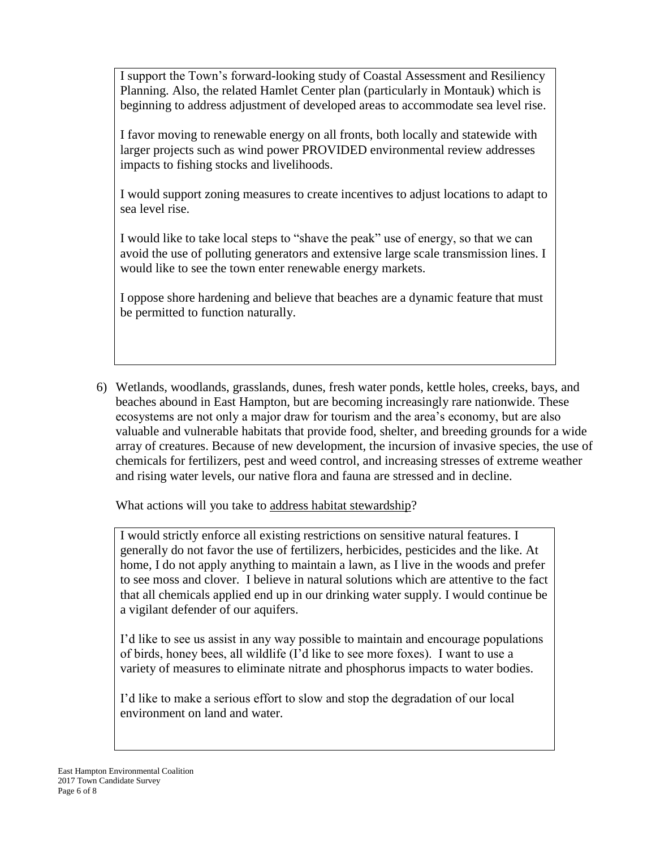I support the Town's forward-looking study of Coastal Assessment and Resiliency Planning. Also, the related Hamlet Center plan (particularly in Montauk) which is beginning to address adjustment of developed areas to accommodate sea level rise.

I favor moving to renewable energy on all fronts, both locally and statewide with larger projects such as wind power PROVIDED environmental review addresses impacts to fishing stocks and livelihoods.

I would support zoning measures to create incentives to adjust locations to adapt to sea level rise.

I would like to take local steps to "shave the peak" use of energy, so that we can avoid the use of polluting generators and extensive large scale transmission lines. I would like to see the town enter renewable energy markets.

I oppose shore hardening and believe that beaches are a dynamic feature that must be permitted to function naturally.

6) Wetlands, woodlands, grasslands, dunes, fresh water ponds, kettle holes, creeks, bays, and beaches abound in East Hampton, but are becoming increasingly rare nationwide. These ecosystems are not only a major draw for tourism and the area's economy, but are also valuable and vulnerable habitats that provide food, shelter, and breeding grounds for a wide array of creatures. Because of new development, the incursion of invasive species, the use of chemicals for fertilizers, pest and weed control, and increasing stresses of extreme weather and rising water levels, our native flora and fauna are stressed and in decline.

What actions will you take to address habitat stewardship?

I would strictly enforce all existing restrictions on sensitive natural features. I generally do not favor the use of fertilizers, herbicides, pesticides and the like. At home, I do not apply anything to maintain a lawn, as I live in the woods and prefer to see moss and clover. I believe in natural solutions which are attentive to the fact that all chemicals applied end up in our drinking water supply. I would continue be a vigilant defender of our aquifers.

I'd like to see us assist in any way possible to maintain and encourage populations of birds, honey bees, all wildlife (I'd like to see more foxes). I want to use a variety of measures to eliminate nitrate and phosphorus impacts to water bodies.

I'd like to make a serious effort to slow and stop the degradation of our local environment on land and water.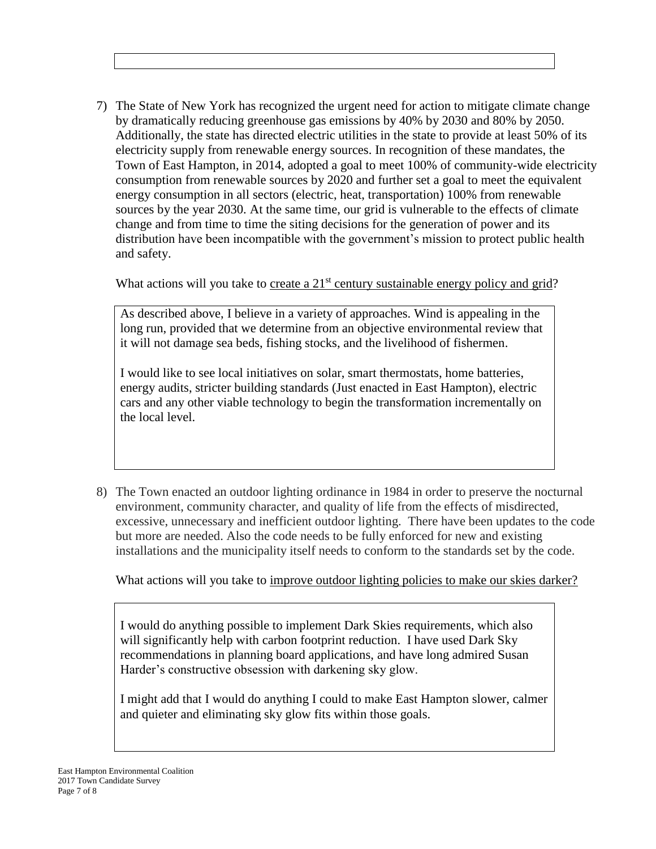7) The State of New York has recognized the urgent need for action to mitigate climate change by dramatically reducing greenhouse gas emissions by 40% by 2030 and 80% by 2050. Additionally, the state has directed electric utilities in the state to provide at least 50% of its electricity supply from renewable energy sources. In recognition of these mandates, the Town of East Hampton, in 2014, adopted a goal to meet 100% of community-wide electricity consumption from renewable sources by 2020 and further set a goal to meet the equivalent energy consumption in all sectors (electric, heat, transportation) 100% from renewable sources by the year 2030. At the same time, our grid is vulnerable to the effects of climate change and from time to time the siting decisions for the generation of power and its distribution have been incompatible with the government's mission to protect public health and safety.

What actions will you take to create a  $21<sup>st</sup>$  century sustainable energy policy and grid?

As described above, I believe in a variety of approaches. Wind is appealing in the long run, provided that we determine from an objective environmental review that it will not damage sea beds, fishing stocks, and the livelihood of fishermen.

I would like to see local initiatives on solar, smart thermostats, home batteries, energy audits, stricter building standards (Just enacted in East Hampton), electric cars and any other viable technology to begin the transformation incrementally on the local level.

8) The Town enacted an outdoor lighting ordinance in 1984 in order to preserve the nocturnal environment, community character, and quality of life from the effects of misdirected, excessive, unnecessary and inefficient outdoor lighting. There have been updates to the code but more are needed. Also the code needs to be fully enforced for new and existing installations and the municipality itself needs to conform to the standards set by the code.

What actions will you take to improve outdoor lighting policies to make our skies darker?

I would do anything possible to implement Dark Skies requirements, which also will significantly help with carbon footprint reduction. I have used Dark Sky recommendations in planning board applications, and have long admired Susan Harder's constructive obsession with darkening sky glow.

I might add that I would do anything I could to make East Hampton slower, calmer and quieter and eliminating sky glow fits within those goals.